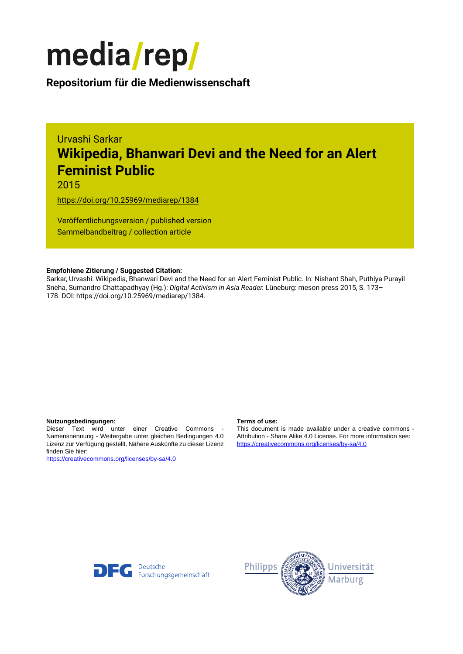

**Repositorium für die [Medienwissenschaft](https://mediarep.org)**

# Urvashi Sarkar **Wikipedia, Bhanwari Devi and the Need for an Alert Feminist Public**

2015

<https://doi.org/10.25969/mediarep/1384>

Veröffentlichungsversion / published version Sammelbandbeitrag / collection article

#### **Empfohlene Zitierung / Suggested Citation:**

Sarkar, Urvashi: Wikipedia, Bhanwari Devi and the Need for an Alert Feminist Public. In: Nishant Shah, Puthiya Purayil Sneha, Sumandro Chattapadhyay (Hg.): *Digital Activism in Asia Reader.* Lüneburg: meson press 2015, S. 173– 178. DOI: https://doi.org/10.25969/mediarep/1384.

#### **Nutzungsbedingungen: Terms of use:**

Dieser Text wird unter einer Creative Commons - Namensnennung - Weitergabe unter gleichen Bedingungen 4.0 Lizenz zur Verfügung gestellt. Nähere Auskünfte zu dieser Lizenz finden Sie hier:

<https://creativecommons.org/licenses/by-sa/4.0>

This document is made available under a creative commons - Attribution - Share Alike 4.0 License. For more information see: <https://creativecommons.org/licenses/by-sa/4.0>



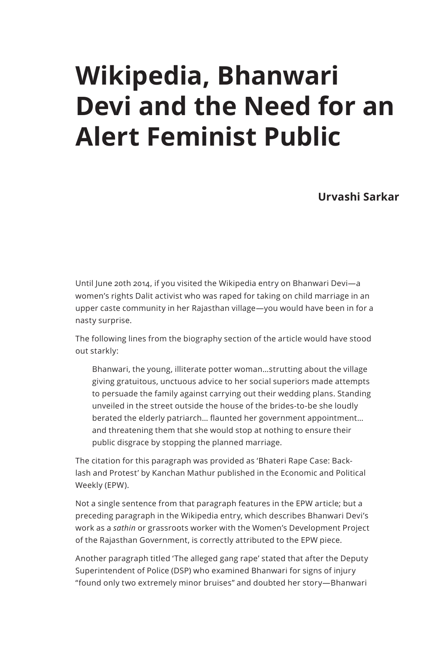# **Wikipedia, Bhanwari Devi and the Need for an Alert Feminist Public**

**Urvashi Sarkar**

Until June 20th 2014, if you visited the Wikipedia entry on Bhanwari Devi—a women's rights Dalit activist who was raped for taking on child marriage in an upper caste community in her Rajasthan village—you would have been in foranasty surprise.

The following lines from the biography section of the article would have stood out starkly:

Bhanwari, the young, illiterate potter woman…strutting about the village giving gratuitous, unctuous advice to her social superiors made attempts to persuade the family against carrying out their wedding plans. Standing unveiled in the street outside the house of the brides-to-be she loudly berated the elderly patriarch… flaunted her government appointment… and threatening them that she would stop at nothing to ensure their public disgrace by stopping the planned marriage.

The citation for this paragraph was provided as 'Bhateri Rape Case: Backlash and Protest' by Kanchan Mathur published in the Economic and Political Weekly (EPW).

Not a single sentence from that paragraph features in the EPW article; but a preceding paragraph in the Wikipedia entry, which describes Bhanwari Devi's work as a *sathin* or grassroots worker with the Women's Development Project of the Rajasthan Government, is correctly attributed to the EPW piece.

Another paragraph titled 'The alleged gang rape' stated that after the Deputy Superintendent of Police (DSP) who examined Bhanwari for signs of injury "found only two extremely minor bruises" and doubted her story—Bhanwari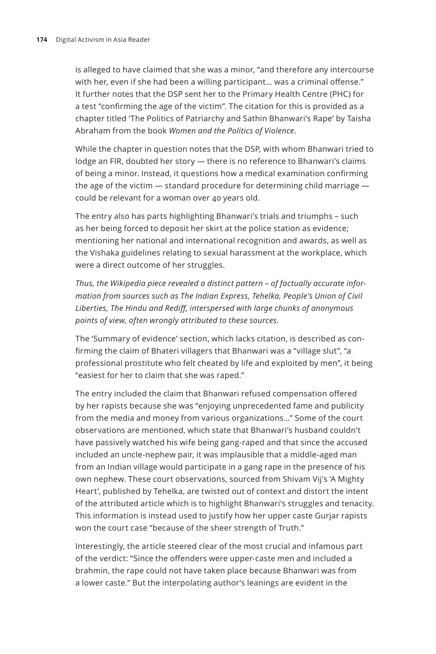is alleged to have claimed that she was a minor, "and therefore any intercourse with her, even if she had been a willing participant... was a criminal offense." It further notes that the DSP sent her to the Primary Health Centre (PHC) for a test "confirming the age of the victim". The citation for this is provided as a chapter titled 'The Politics of Patriarchy and Sathin Bhanwari's Rape' by Taisha Abraham from the book *Women and the Politics of Violence*.

While the chapter in question notes that the DSP, with whom Bhanwari tried to lodge an FIR, doubted her story - there is no reference to Bhanwari's claims of being a minor. Instead, it questions how a medical examination confirming the age of the victim — standard procedure for determining child marriage could be relevant for a woman over 40 years old.

The entry also has parts highlighting Bhanwari's trials and triumphs–such as her being forced to deposit her skirt at the police station as evidence; mentioning her national and international recognition and awards, as well as the Vishaka guidelines relating to sexual harassment at the workplace, which were a direct outcome of her struggles.

*Thus, the Wikipedia piece revealed a distinct pattern – of factually accurate information from sources such as The Indian Express, Tehelka, People's Union of Civil Liberties, The Hindu and Rediff, interspersed with large chunks of anonymous points of view, often wrongly attributed to these sources.*

The 'Summary of evidence' section, which lacks citation, is described as confirming the claim of Bhateri villagers that Bhanwari was a "village slut", "a professional prostitute who felt cheated by life and exploited by men", it being "easiest for her to claim that she was raped."

The entry included the claim that Bhanwari refused compensation offered by her rapists because she was "enjoying unprecedented fame and publicity from the media and money from various organizations…" Some of the court observations are mentioned, which state that Bhanwari's husband couldn't have passively watched his wife being gang-raped and that since the accused included an uncle-nephew pair, it was implausible that a middle-aged man from an Indian village would participate in a gang rape in the presence of his own nephew. These court observations, sourced from Shivam Vij's 'A Mighty Heart', published by Tehelka, are twisted out of context and distort the intent of the attributed article which is to highlight Bhanwari's struggles and tenacity. This information is instead used to justify how her upper caste Gurjar rapists won the court case "because of the sheer strength of Truth."

Interestingly, the article steered clear of the most crucial and infamous part of the verdict: "Since the offenders were upper-caste men and included a brahmin, the rape could not have taken place because Bhanwari was from alower caste." But the interpolating author's leanings are evident in the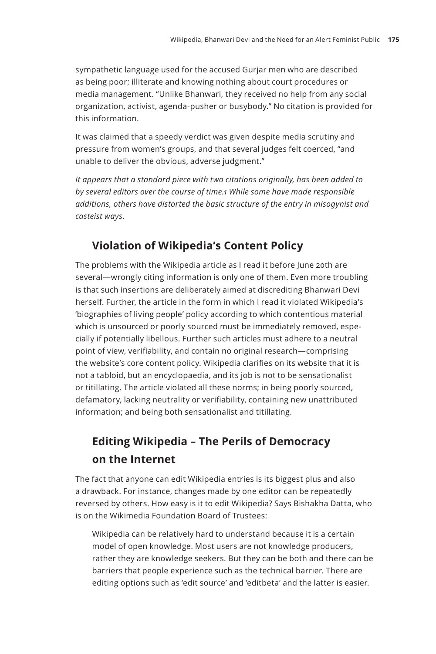sympathetic language used for the accused Gurjar men who are described as being poor; illiterate and knowing nothing about court procedures or media management. "Unlike Bhanwari, they received no help from any social organization, activist, agenda-pusher or busybody." No citation is provided for this information.

It was claimed that a speedy verdict was given despite media scrutiny and pressure from women's groups, and that several judges felt coerced, "and unable to deliver the obvious, adverse judgment."

*It appears that a standard piece with two citations originally, has been added to by several editors over the course of time.1 While some have made responsible additions, others have distorted the basic structure of the entry in misogynist and casteist ways.* 

# **Violation of Wikipedia's Content Policy**

The problems with the Wikipedia article as I read it before June 20th are several—wrongly citing information is only one of them. Even more troubling is that such insertions are deliberately aimed at discrediting Bhanwari Devi herself. Further, the article in the form in which I read it violated Wikipedia's 'biographies of living people' policy according to which contentious material which is unsourced or poorly sourced must be immediately removed, especially if potentially libellous. Further such articles must adhere to a neutral point of view, verifiability, and contain no original research—comprising the website's core content policy. Wikipedia clarifies on its website that it is not a tabloid, but an encyclopaedia, and its job is not to be sensationalist or titillating. The article violated all these norms; in being poorly sourced, defamatory, lacking neutrality or verifiability, containing new unattributed information; and being both sensationalist and titillating.

# **Editing Wikipedia – The Perils of Democracy on the Internet**

The fact that anyone can edit Wikipedia entries is its biggest plus and also a drawback. For instance, changes made by one editor can be repeatedly reversed by others. How easy is it to edit Wikipedia? Says Bishakha Datta, who is on the Wikimedia Foundation Board of Trustees:

Wikipedia can be relatively hard to understand because it is a certain model of open knowledge. Most users are not knowledge producers, rather they are knowledge seekers. But they can be both and there can be barriers that people experience such as the technical barrier. There are editing options such as 'edit source' and 'editbeta' and the latter is easier.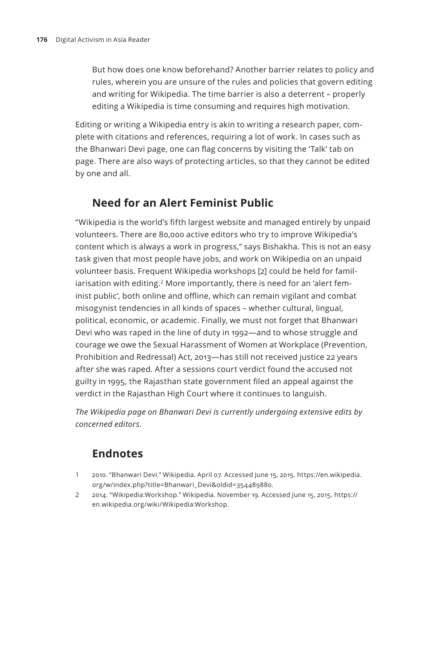But how does one know beforehand? Another barrier relates to policy and rules, wherein you are unsure of the rules and policies that govern editing and writing for Wikipedia. The time barrier is also a deterrent – properly editing a Wikipedia is time consuming and requires high motivation.

Editing or writing a Wikipedia entry is akin to writing a research paper, complete with citations and references, requiring a lot of work. In cases such as the Bhanwari Devi page, one can flag concerns by visiting the 'Talk' tab on page. There are also ways of protecting articles, so that they cannot be edited by one and all.

# **Need for an Alert Feminist Public**

"Wikipedia is the world's fifth largest website and managed entirely by unpaid volunteers. There are 80,000 active editors who try to improve Wikipedia's content which is always a work in progress," says Bishakha. This is not an easy task given that most people have jobs, and work on Wikipedia on an unpaid volunteer basis. Frequent Wikipedia workshops [2] could be held for familiarisation with editing.<sup>2</sup> More importantly, there is need for an 'alert feminist public', both online and offline, which can remain vigilant and combat misogynist tendencies in all kinds of spaces – whether cultural, lingual, political, economic, or academic. Finally, we must not forget that Bhanwari Devi who was raped in the line of duty in 1992—and to whose struggle and courage we owe the Sexual Harassment of Women at Workplace (Prevention, Prohibition and Redressal) Act, 2013—has still not received justice 22 years after she was raped. After a sessions court verdict found the accused not guilty in 1995, the Rajasthan state government filed an appeal against the verdict in the Rajasthan High Court where it continues to languish.

*The Wikipedia page on Bhanwari Devi is currently undergoing extensive edits by concerned editors.*

# **Endnotes**

- 1 2010. "Bhanwari Devi." Wikipedia. April 07. Accessed June 15, 2015. https://en.wikipedia. org/w/index.php?title=Bhanwari\_Devi&oldid=354489880.
- 2 2014. "Wikipedia:Workshop." Wikipedia. November 19. Accessed June 15, 2015. https:// en.wikipedia.org/wiki/Wikipedia:Workshop.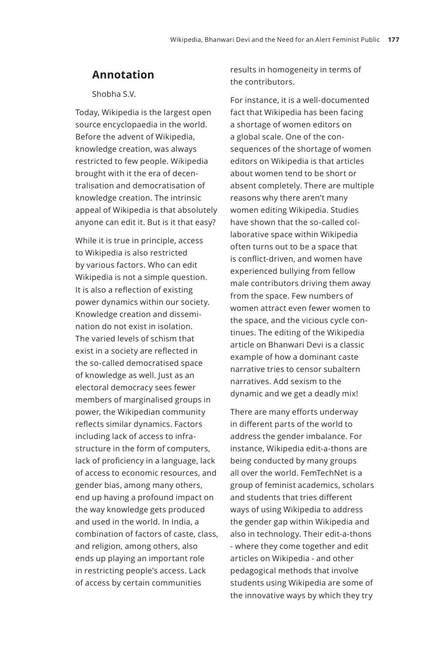### **Annotation**

Shobha S.V.

Today, Wikipedia is the largest open source encyclopaedia in the world. Before the advent of Wikipedia, knowledge creation, was always restricted to few people. Wikipedia brought with it the era of decentralisation and democratisation of knowledge creation. The intrinsic appeal of Wikipedia is that absolutely anyone can edit it. But is it that easy?

While it is true in principle, access to Wikipedia is also restricted by various factors. Who can edit Wikipedia is not a simple question. It is also a reflection of existing power dynamics within our society. Knowledge creation and dissemination do not exist in isolation. The varied levels of schism that exist in a society are reflected in the so-called democratised space of knowledge as well. Just as an electoral democracy sees fewer members of marginalised groups in power, the Wikipedian community reflects similar dynamics. Factors including lack of access to infrastructure in the form of computers, lack of proficiency in a language, lack of access to economic resources, and gender bias, among many others, end up having a profound impact on the way knowledge gets produced and used in the world. In India, a combination of factors of caste, class, and religion, among others, also ends up playing an important role in restricting people's access. Lack of access by certain communities

results in homogeneity in terms of the contributors.

For instance, it isawell-documented fact that Wikipedia has been facing a shortage of women editors on a global scale. One of the consequences of the shortage of women editors on Wikipedia is that articles about women tend to be short or absent completely. There are multiple reasons why there aren't many women editing Wikipedia. Studies have shown that the so-called collaborative space within Wikipedia often turns out to be a space that is conflict-driven, and women have experienced bullying from fellow male contributors driving them away from the space. Few numbers of women attract even fewer women to the space, and the vicious cycle continues. The editing of the Wikipedia article on Bhanwari Devi is a classic example of how a dominant caste narrative tries to censor subaltern narratives. Add sexism to the dynamic and we get a deadly mix!

There are many efforts underway in different parts of the world to address the gender imbalance. For instance, Wikipedia edit-a-thons are being conducted by many groups all over the world. FemTechNet is a group of feminist academics, scholars and students that tries different ways of using Wikipedia to address the gender gap within Wikipedia and also in technology. Their edit-a-thons - where they come together and edit articles on Wikipedia - and other pedagogical methods that involve students using Wikipedia are some of the innovative ways by which they try